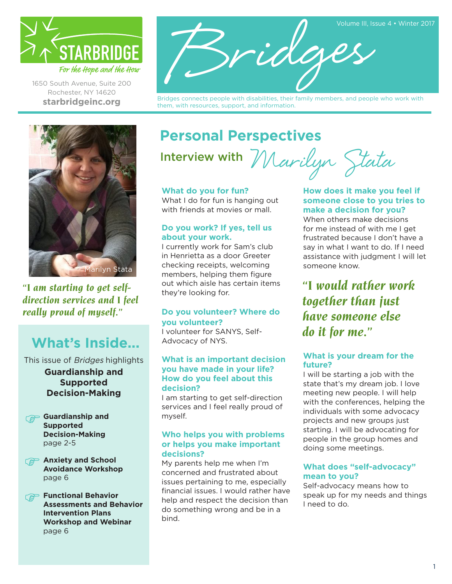

1650 South Avenue, Suite 200 Rochester, NY 14620 **[starbridgeinc.org](http://www.starbridgeinc.org/)**



Bridges connects people with disabilities, their family members, and people who work with them, with resources, support, and information.



*"I am starting to get selfdirection services and I feel really proud of myself."*

# **What's Inside...**

This issue of Bridges highlights **Guardianship and Supported Decision-Making**

- **Guardianship and Supported Decision-Making** page 2-5
- **Anxiety and School Avoidance Workshop** page 6

**Functional Behavior Assessments and Behavior Intervention Plans Workshop and Webinar** page 6

# **Personal Perspectives** Marilyn Stata

Interview with

#### **What do you for fun?**

What I do for fun is hanging out with friends at movies or mall.

#### **Do you work? If yes, tell us about your work.**

I currently work for Sam's club in Henrietta as a door Greeter checking receipts, welcoming members, helping them figure out which aisle has certain items they're looking for.

#### **Do you volunteer? Where do you volunteer?**

I volunteer for SANYS, Self-Advocacy of NYS.

#### **What is an important decision you have made in your life? How do you feel about this decision?**

I am starting to get self-direction services and I feel really proud of myself.

#### **Who helps you with problems or helps you make important decisions?**

My parents help me when I'm concerned and frustrated about issues pertaining to me, especially financial issues. I would rather have help and respect the decision than do something wrong and be in a bind.

#### **How does it make you feel if someone close to you tries to make a decision for you?**

When others make decisions for me instead of with me I get frustrated because I don't have a say in what I want to do. If I need assistance with judgment I will let someone know.

*"I would rather work together than just have someone else do it for me."* 

#### **What is your dream for the future?**

I will be starting a job with the state that's my dream job. I love meeting new people. I will help with the conferences, helping the individuals with some advocacy projects and new groups just starting. I will be advocating for people in the group homes and doing some meetings.

#### **What does "self-advocacy" mean to you?**

Self-advocacy means how to speak up for my needs and things I need to do.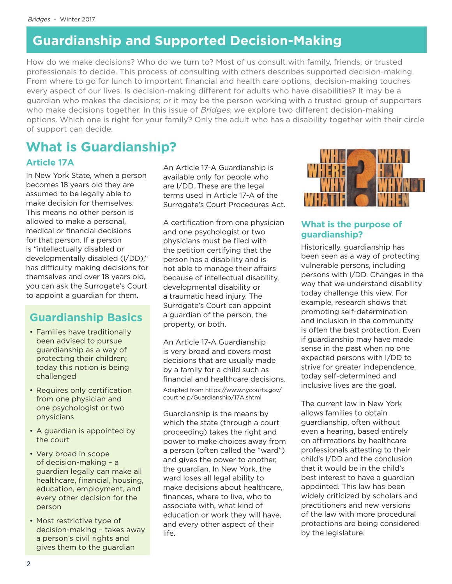How do we make decisions? Who do we turn to? Most of us consult with family, friends, or trusted professionals to decide. This process of consulting with others describes supported decision-making. From where to go for lunch to important financial and health care options, decision-making touches every aspect of our lives. Is decision-making different for adults who have disabilities? It may be a guardian who makes the decisions; or it may be the person working with a trusted group of supporters who make decisions together. In this issue of *Bridges*, we explore two different decision-making options. Which one is right for your family? Only the adult who has a disability together with their circle of support can decide.

# **What is Guardianship?**

**Article 17A**

In New York State, when a person becomes 18 years old they are assumed to be legally able to make decision for themselves. This means no other person is allowed to make a personal, medical or financial decisions for that person. If a person is "intellectually disabled or developmentally disabled (I/DD)," has difficulty making decisions for themselves and over 18 years old, you can ask the Surrogate's Court to appoint a guardian for them.

# **Guardianship Basics**

- Families have traditionally been advised to pursue guardianship as a way of protecting their children; today this notion is being challenged
- Requires only certification from one physician and one psychologist or two physicians
- A guardian is appointed by the court
- Very broad in scope of decision-making – a guardian legally can make all healthcare, financial, housing, education, employment, and every other decision for the person
- Most restrictive type of decision-making – takes away a person's civil rights and gives them to the guardian

An Article 17-A Guardianship is available only for people who are I/DD. These are the legal terms used in Article 17-A of the Surrogate's Court Procedures Act.

A certification from one physician and one psychologist or two physicians must be filed with the petition certifying that the person has a disability and is not able to manage their affairs because of intellectual disability, developmental disability or a traumatic head injury. The Surrogate's Court can appoint a guardian of the person, the property, or both.

An Article 17-A Guardianship is very broad and covers most decisions that are usually made by a family for a child such as financial and healthcare decisions. Adapted from [https://www.nycourts.gov/](https://www.nycourts.gov/courthelp/Guardianship/17A.shtml) [courthelp/Guardianship/17A.shtml](https://www.nycourts.gov/courthelp/Guardianship/17A.shtml)

Guardianship is the means by which the state (through a court proceeding) takes the right and power to make choices away from a person (often called the "ward") and gives the power to another, the guardian. In New York, the ward loses all legal ability to make decisions about healthcare, finances, where to live, who to associate with, what kind of education or work they will have, and every other aspect of their life.



#### **What is the purpose of guardianship?**

Historically, guardianship has been seen as a way of protecting vulnerable persons, including persons with I/DD. Changes in the way that we understand disability today challenge this view. For example, research shows that promoting self-determination and inclusion in the community is often the best protection. Even if guardianship may have made sense in the past when no one expected persons with I/DD to strive for greater independence, today self-determined and inclusive lives are the goal.

The current law in New York allows families to obtain guardianship, often without even a hearing, based entirely on affirmations by healthcare professionals attesting to their child's I/DD and the conclusion that it would be in the child's best interest to have a guardian appointed. This law has been widely criticized by scholars and practitioners and new versions of the law with more procedural protections are being considered by the legislature.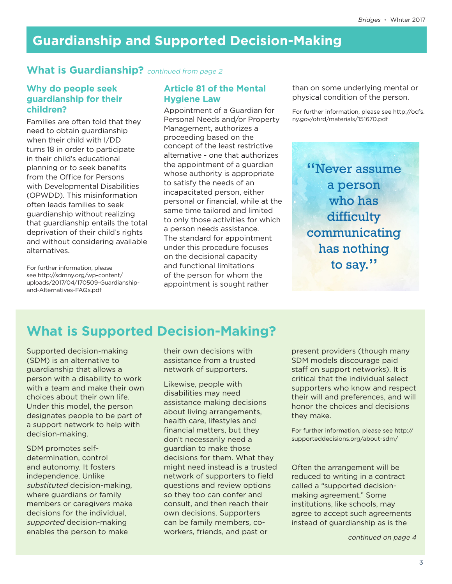### **What is Guardianship?** *continued from page 2*

#### **Why do people seek guardianship for their children?**

Families are often told that they need to obtain guardianship when their child with I/DD turns 18 in order to participate in their child's educational planning or to seek benefits from the Office for Persons with Developmental Disabilities (OPWDD). This misinformation often leads families to seek guardianship without realizing that guardianship entails the total deprivation of their child's rights and without considering available alternatives.

For further information, please see [http://sdmny.org/wp-content/](http://sdmny.org/wp-content/uploads/2017/04/170509-Guardianship-and-Alternatives-FAQs.pdf) [uploads/2017/04/170509-Guardianship](http://sdmny.org/wp-content/uploads/2017/04/170509-Guardianship-and-Alternatives-FAQs.pdf)[and-Alternatives-FAQs.pdf](http://sdmny.org/wp-content/uploads/2017/04/170509-Guardianship-and-Alternatives-FAQs.pdf)

#### **Article 81 of the Mental Hygiene Law**

Appointment of a Guardian for Personal Needs and/or Property Management, authorizes a proceeding based on the concept of the least restrictive alternative - one that authorizes the appointment of a guardian whose authority is appropriate to satisfy the needs of an incapacitated person, either personal or financial, while at the same time tailored and limited to only those activities for which a person needs assistance. The standard for appointment under this procedure focuses on the decisional capacity and functional limitations of the person for whom the appointment is sought rather

than on some underlying mental or physical condition of the person.

For further information, please see [http://ocfs.](http://ocfs.ny.gov/ohrd/materials/151670.pdf) [ny.gov/ohrd/materials/151670.pdf](http://ocfs.ny.gov/ohrd/materials/151670.pdf)

"Never assume a person who has difficulty communicating has nothing to say."

# **What is Supported Decision-Making?**

Supported decision-making (SDM) is an alternative to guardianship that allows a person with a disability to work with a team and make their own choices about their own life. Under this model, the person designates people to be part of a support network to help with decision-making.

SDM promotes selfdetermination, control and autonomy. It fosters independence. Unlike substituted decision-making, where guardians or family members or caregivers make decisions for the individual, supported decision-making enables the person to make

their own decisions with assistance from a trusted network of supporters.

Likewise, people with disabilities may need assistance making decisions about living arrangements, health care, lifestyles and financial matters, but they don't necessarily need a guardian to make those decisions for them. What they might need instead is a trusted network of supporters to field questions and review options so they too can confer and consult, and then reach their own decisions. Supporters can be family members, coworkers, friends, and past or

present providers (though many SDM models discourage paid staff on support networks). It is critical that the individual select supporters who know and respect their will and preferences, and will honor the choices and decisions they make.

For further information, please see [http://](http://supporteddecisions.org/about-sdm/) [supporteddecisions.org/about-sdm/](http://supporteddecisions.org/about-sdm/)

Often the arrangement will be reduced to writing in a contract called a "supported decisionmaking agreement." Some institutions, like schools, may agree to accept such agreements instead of guardianship as is the

continued on page 4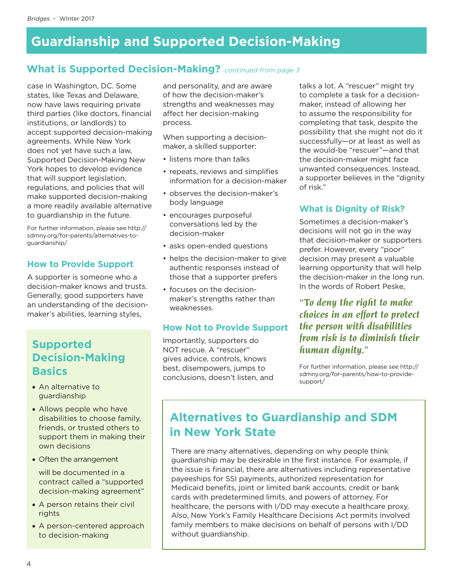### **What is Supported Decision-Making?** continued from page 3

case in Washington, DC. Some states, like Texas and Delaware, now have laws requiring private third parties (like doctors, financial institutions, or landlords) to accept supported decision-making agreements. While New York does not yet have such a law, Supported Decision-Making New York hopes to develop evidence that will support legislation, regulations, and policies that will make supported decision-making a more readily available alternative to guardianship in the future.

For further information, please see [http://](http://sdmny.org/for-parents/alternatives-to-guardianship/) [sdmny.org/for-parents/alternatives-to](http://sdmny.org/for-parents/alternatives-to-guardianship/)[guardianship/](http://sdmny.org/for-parents/alternatives-to-guardianship/)

#### **How to Provide Support**

A supporter is someone who a decision-maker knows and trusts. Generally, good supporters have an understanding of the decisionmaker's abilities, learning styles,

### **Supported Decision-Making Basics**

- An alternative to guardianship
- Allows people who have disabilities to choose family, friends, or trusted others to support them in making their own decisions
- Often the arrangement

will be documented in a contract called a "supported decision-making agreement"

- A person retains their civil rights
- A person-centered approach to decision-making

and personality, and are aware of how the decision-maker's strengths and weaknesses may affect her decision-making process.

When supporting a decisionmaker, a skilled supporter:

- listens more than talks
- repeats, reviews and simplifies information for a decision-maker
- observes the decision-maker's body language
- encourages purposeful conversations led by the decision-maker
- asks open-ended questions
- helps the decision-maker to give authentic responses instead of those that a supporter prefers
- focuses on the decisionmaker's strengths rather than weaknesses.

#### **How Not to Provide Support**

Importantly, supporters do NOT rescue. A "rescuer" gives advice, controls, knows best, disempowers, jumps to conclusions, doesn't listen, and talks a lot. A "rescuer" might try to complete a task for a decisionmaker, instead of allowing her to assume the responsibility for completing that task, despite the possibility that she might not do it successfully—or at least as well as the would-be "rescuer"—and that the decision-maker might face unwanted consequences. Instead, a supporter believes in the "dignity of risk."

#### **What is Dignity of Risk?**

Sometimes a decision-maker's decisions will not go in the way that decision-maker or supporters prefer. However, every "poor" decision may present a valuable learning opportunity that will help the decision-maker in the long run. In the words of Robert Peske,

*"To deny the right to make choices in an effort to protect the person with disabilities from risk is to diminish their human dignity."*

For further information, please see [http://](http://sdmny.org/for-parents/how-to-provide-support/) [sdmny.org/for-parents/how-to-provide](http://sdmny.org/for-parents/how-to-provide-support/)[support/](http://sdmny.org/for-parents/how-to-provide-support/)

# **Alternatives to Guardianship and SDM in New York State**

There are many alternatives, depending on why people think guardianship may be desirable in the first instance. For example, if the issue is financial, there are alternatives including representative payeeships for SSI payments, authorized representation for Medicaid benefits, joint or limited bank accounts, credit or bank cards with predetermined limits, and powers of attorney. For healthcare, the persons with I/DD may execute a healthcare proxy. Also, New York's Family Healthcare Decisions Act permits involved family members to make decisions on behalf of persons with I/DD without guardianship.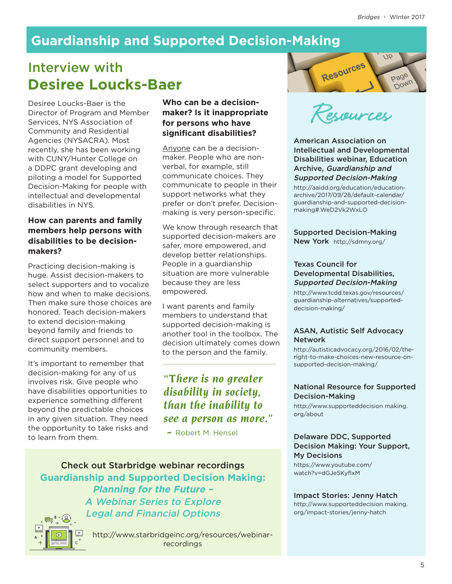# Interview with **Desiree Loucks-Baer**

Desiree Loucks-Baer is the **Who can be a decision-**<br>Director of Program and Member **maker? Is it inappropriate**<br>Services, NYS Association of **for persons who have**<br>Community and Residential **significant disabilities?** Director of Program and Member Services, NYS Association of Community and Residential Agencies (NYSACRA). Most recently, she has been working with CUNY/Hunter College on a DDPC grant developing and piloting a model for Supported Decision-Making for people with intellectual and developmental disabilities in NYS.

#### **How can parents and family members help persons with disabilities to be decisionmakers?**

Practicing decision-making is huge. Assist decision-makers to select supporters and to vocalize how and when to make decisions. Then make sure those choices are honored. Teach decision-makers to extend decision-making beyond family and friends to direct support personnel and to community members.

It's important to remember that decision-making for any of us involves risk. Give people who have disabilities opportunities to experience something different beyond the predictable choices in any given situation. They need the opportunity to take risks and to learn from them.

#### **Who can be a decisionmaker? Is it inappropriate for persons who have significant disabilities?**

Anyone can be a decisionmaker. People who are nonverbal, for example, still communicate choices. They communicate to people in their support networks what they prefer or don't prefer. Decisionmaking is very person-specific.

We know through research that supported decision-makers are safer, more empowered, and develop better relationships. People in a guardianship situation are more vulnerable because they are less empowered.

I want parents and family members to understand that supported decision-making is another tool in the toolbox. The decision ultimately comes down to the person and the family.

### *"There is no greater disability in society, than the inability to see a person as more."*

 *-* Robert M. Hensel

Check out Starbridge webinar recordings **Guardianship and Supported Decision Making: Planning for the Future –**  A Webinar Series to Explore Legal and Financial Options



[http://www.starbridgeinc.org/resources/webinar](http://www.starbridgeinc.org/resources/webinar-recordings)[recordings](http://www.starbridgeinc.org/resources/webinar-recordings)



American Association on Intellectual and Developmental Disabilities webinar, Education Archive, Guardianship and Supported Decision-Making

[http://aaidd.org/education/education](http://aaidd.org/education/education-archive/2017/09/28/default-calendar/guardianship-and-supported-decision-making#.WeD2Vk2WxLO)[archive/2017/09/28/default-calendar/](http://aaidd.org/education/education-archive/2017/09/28/default-calendar/guardianship-and-supported-decision-making#.WeD2Vk2WxLO) [guardianship-and-supported-decision](http://aaidd.org/education/education-archive/2017/09/28/default-calendar/guardianship-and-supported-decision-making#.WeD2Vk2WxLO)[making#.WeD2Vk2WxLO](http://aaidd.org/education/education-archive/2017/09/28/default-calendar/guardianship-and-supported-decision-making#.WeD2Vk2WxLO)

Supported Decision-Making New York <http://sdmny.org/>

#### Texas Council for Developmental Disabilities, Supported Decision-Making

[http://www.tcdd.texas.gov/resources/](http://www.tcdd.texas.gov/resources/guardianship-alternatives/supported-decision-making/) [guardianship-alternatives/supported](http://www.tcdd.texas.gov/resources/guardianship-alternatives/supported-decision-making/)[decision-making/](http://www.tcdd.texas.gov/resources/guardianship-alternatives/supported-decision-making/)

#### ASAN, Autistic Self Advocacy Network

[http://autisticadvocacy.org/2016/02/the](http://autisticadvocacy.org/2016/02/the-right-to-make-choices-new-resource-on-supported-decision-making/)[right-to-make-choices-new-resource-on](http://autisticadvocacy.org/2016/02/the-right-to-make-choices-new-resource-on-supported-decision-making/)[supported-decision-making/](http://autisticadvocacy.org/2016/02/the-right-to-make-choices-new-resource-on-supported-decision-making/)

#### National Resource for Supported Decision-Making

[http://www.supporteddecision making.](http://www.supporteddecisionmaking.org/about) [org/about](http://www.supporteddecisionmaking.org/about)

#### Delaware DDC, Supported Decision Making: Your Support, My Decisions

[https://www.youtube.com/](https://www.youtube.com/watch?v=dGJe5KyflxM) [watch?v=dGJe5KyflxM](https://www.youtube.com/watch?v=dGJe5KyflxM)

#### Impact Stories: Jenny Hatch

[http://www.supporteddecision making.](http://www.supporteddecisionmaking.org/impact-stories/jenny-hatch) [org/impact-stories/jenny-hatch](http://www.supporteddecisionmaking.org/impact-stories/jenny-hatch)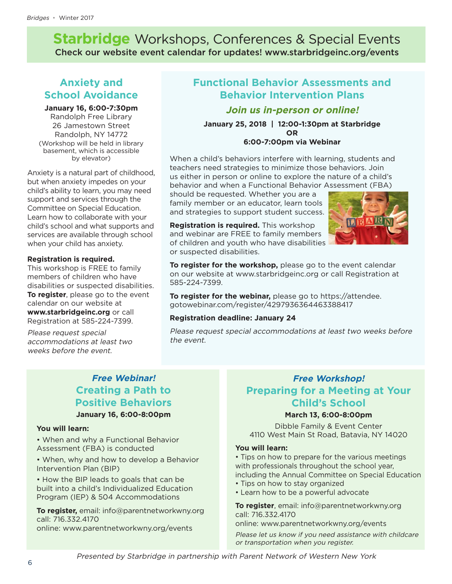**Starbridge** Workshops, Conferences & Special Events Check our website event calendar for updates! www.starbridgeinc.org/events

### **Anxiety and School Avoidance**

#### **January 16, 6:00-7:30pm**

Randolph Free Library 26 Jamestown Street Randolph, NY 14772 (Workshop will be held in library basement, which is accessible by elevator)

Anxiety is a natural part of childhood, but when anxiety impedes on your child's ability to learn, you may need support and services through the Committee on Special Education. Learn how to collaborate with your child's school and what supports and services are available through school when your child has anxiety.

#### **Registration is required.**

This workshop is FREE to family members of children who have disabilities or suspected disabilities. **To register**, please go to the event calendar on our website at **www.starbridgeinc.org** or call Registration at 585-224-7399.

Please request special accommodations at least two weeks before the event.

### **Functional Behavior Assessments and Behavior Intervention Plans**

#### **Join us in-person or online!**

**January 25, 2018 | 12:00-1:30pm at Starbridge OR 6:00-7:00pm via Webinar**

When a child's behaviors interfere with learning, students and teachers need strategies to minimize those behaviors. Join and Behaviors of the strategies of the strategies o us either in person or online to explore the nature of a child's behavior and when a Functional Behavior Assessment (FBA)

should be requested. Whether you are a family member or an educator, learn tools and strategies to support student success.

**Registration is required.** This workshop and webinar are FREE to family members of children and youth who have disabilities or suspected disabilities.



To register for the workshop, please go to the event calendar on our website at [www.starbridgeinc.org](file:///C:/Users/Sarah/Google%20Drive/Bridges%20Dec%202017/../../Downloads/www.starbridgeinc.org) or call Registration at 585-224-7399.

**To register for the webinar,** please go to [https://attendee.](https://attendee.gotowebinar.com/register/4297936364463388417) [gotowebinar.com/register/4297936364463388417](https://attendee.gotowebinar.com/register/4297936364463388417)  $y \sim \frac{1}{2}$  are an education or an education  $t_{\text{total}}$  and strategies to support success.

#### **Registration deadline: January 24**

Please request special accommodations at least two weeks before the event.

### **Free Webinar! Creating a Path to Positive Behaviors January 16, 6:00-8:00pm**

#### **You will learn:**

• When and why a Functional Behavior Assessment (FBA) is conducted

• When, why and how to develop a Behavior Intervention Plan (BIP)

• How the BIP leads to goals that can be built into a child's Individualized Education Program (IEP) & 504 Accommodations

**To register,** email: [info@parentnetworkwny.org](mailto:info@parentnetworkwny.org)  call: 716.332.4170 online: [www.parentnetworkwny.org/events](http://www.parentnetworkwny.org/events)

### **Free Workshop! Preparing for a Meeting at Your Child's School**

### 1650 South Avenue, Suite 200 • Rochester, NY 14620 585-546-1700 phone • 800-650-4967 toll free www.starbridgeinc.org **March 13, 6:00-8:00pm**

Dibble Family & Event Center 4110 West Main St Road, Batavia, NY 14020

#### **You will learn:**

• Tips on how to prepare for the various meetings with professionals throughout the school year, including the Annual Committee on Special Education

- Tips on how to stay organized
- Learn how to be a powerful advocate

**To register**, email: info@parentnetworkwny.org call: 716.332.4170

online: www.parentnetworkwny.org/events

Please let us know if you need assistance with childcare or transportation when you register.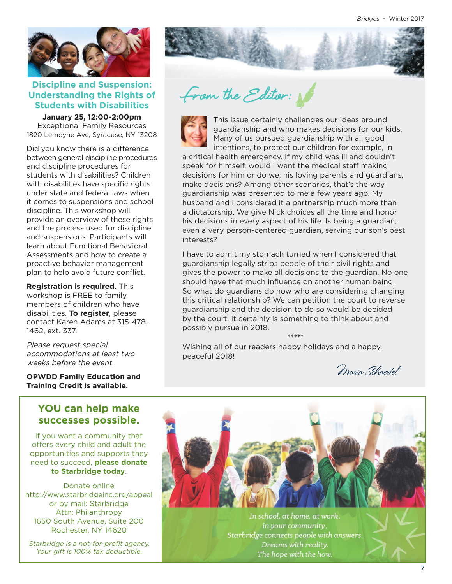

#### Discipline and Suspension:<br>Jnderstanding the Rights of *From the Editor:*<br>Students with Disabilities **Understanding the Rights of Students with Disabilities**

**January 25, 12:00-2:00pm** Exceptional Family Resources 1820 Lemoyne Ave, Syracuse, NY 13208

Did you know there is a difference and you much there is a amore more than  $\sim$ and discipline procedures for students with disabilities? Children with disabilities have specific rights under state and federal laws when it comes to suspensions and school discipline. This workshop will provide an overview of these rights and the process used for discipline and suspensions. Participants will **Presenter: Ashley Patronski** learn about Functional Behavioral Assessments and how to create a Assessments and now to create a<br>proactive behavior management plan to help avoid future conflict. proactive behavior management

Registration is required. This workshop is FREE to family members of children who have disabilities. **To register**, please alsabilities. **10 register**, piease<br>contact Karen Adams at 315-478-1462, ext. 337. advocation is required.

> Please request special accommodations at least two weeks before the event.

**OPWDD Family Education and Training Credit is available.**

#### **1650 YOU can help make**  $585-546$  phone  $985-56$ successes possible.

If you want a community that offers every child and adult the opportunities and supports they need to succeed, **please donate to Starbridge today**.

Donate online <http://www.starbridgeinc.org/appeal> or by mail: Starbridge Attn: Philanthropy 1650 South Avenue, Suite 200 Rochester, NY 14620

Starbridge is a not-for-profit agency. Your gift is 100% tax deductible.



**Wayne Finger Lakes BOCES** 



**Campus Conference Certainly challenges our ideas around This issue certainly challenges our ideas around** guardianship and who makes decisions for our kids. Many of us pursued guardianship with all good intentions, to protect our children for example, in

a critical health emergency. If my child was ill and couldn't speak for himself, would I want the medical staff making decisions for him or do we, his loving parents and guardians,  $RSE$ <br>make decisions<sup>2</sup> Among other scenarios, that's the way. make decisions? Among other scenarios, that's the way guardianship was presented to me a few years ago. My **Registration is required by Nov 29**. husband and I considered it a partnership much more than a dictatorship. We give Nick choices all the time and honor his decisions in every aspect of his life. Is being a guardian, even a very person-centered guardian, serving our son's best interests? the event calendar on our website at  $\alpha$ 

I have to admit my stomach turned when I considered that guardianship legally strips people of their civil rights and gives the power to make all decisions to the guardian. No one should have that much influence on another human being. So what do guardians do now who are considering changing this critical relationship? We can petition the court to reverse guardianship and the decision to do so would be decided by the court. It certainly is something to think about and possibly pursue in 2018.

\*\*\*\*\*

Wishing all of our readers happy holidays and a happy, peaceful 2018! **and national funders.**

**workshop for free thanks to the free thanks to the free thanks to the free thanks to the free thanks to the** 

Maria Schaertel



In school, at home, at work, in your community, Starbridge connects people with answers. Dreams with reality. The hope with the how.